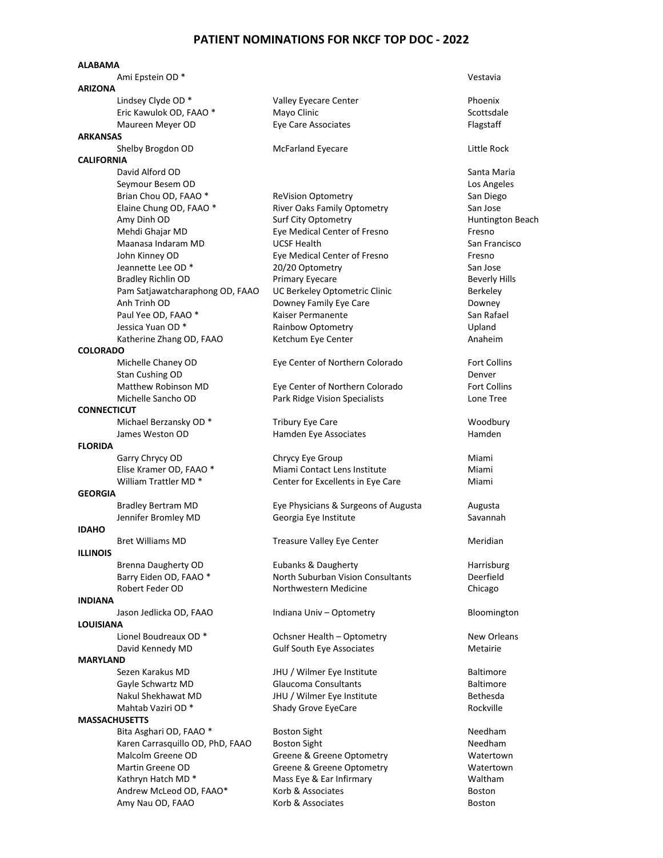## **PATIENT NOMINATIONS FOR NKCF TOP DOC - 2022**

## **ALABAMA**

|                    | Ami Epstein OD <sup>*</sup>      |                                      | Vestavia            |
|--------------------|----------------------------------|--------------------------------------|---------------------|
| <b>ARIZONA</b>     |                                  |                                      |                     |
|                    | Lindsey Clyde OD *               | Valley Eyecare Center                | Phoenix             |
|                    | Eric Kawulok OD, FAAO *          | Mayo Clinic                          | Scottsdale          |
|                    | Maureen Meyer OD                 | Eye Care Associates                  | Flagstaff           |
| <b>ARKANSAS</b>    |                                  |                                      | Little Rock         |
| <b>CALIFORNIA</b>  | Shelby Brogdon OD                | <b>McFarland Eyecare</b>             |                     |
|                    | David Alford OD                  |                                      | Santa Maria         |
|                    | Seymour Besem OD                 |                                      | Los Angeles         |
|                    | Brian Chou OD, FAAO *            | <b>ReVision Optometry</b>            | San Diego           |
|                    | Elaine Chung OD, FAAO *          | River Oaks Family Optometry          | San Jose            |
|                    | Amy Dinh OD                      | Surf City Optometry                  | Huntington B        |
|                    | Mehdi Ghajar MD                  | Eye Medical Center of Fresno         | Fresno              |
|                    | Maanasa Indaram MD               | <b>UCSF Health</b>                   | San Francisco       |
|                    | John Kinney OD                   | Eye Medical Center of Fresno         | Fresno              |
|                    | Jeannette Lee OD *               | 20/20 Optometry                      | San Jose            |
|                    | <b>Bradley Richlin OD</b>        | Primary Eyecare                      | Beverly Hills       |
|                    | Pam Satjawatcharaphong OD, FAAO  | UC Berkeley Optometric Clinic        | Berkeley            |
|                    | Anh Trinh OD                     | Downey Family Eye Care               | Downey              |
|                    | Paul Yee OD, FAAO *              | Kaiser Permanente                    | San Rafael          |
|                    | Jessica Yuan OD *                | Rainbow Optometry                    | Upland              |
|                    | Katherine Zhang OD, FAAO         | Ketchum Eye Center                   | Anaheim             |
| <b>COLORADO</b>    |                                  |                                      |                     |
|                    | Michelle Chaney OD               | Eye Center of Northern Colorado      | <b>Fort Collins</b> |
|                    | Stan Cushing OD                  |                                      | Denver              |
|                    | Matthew Robinson MD              | Eye Center of Northern Colorado      | <b>Fort Collins</b> |
|                    | Michelle Sancho OD               | Park Ridge Vision Specialists        | Lone Tree           |
| <b>CONNECTICUT</b> | Michael Berzansky OD *           | <b>Tribury Eye Care</b>              | Woodbury            |
|                    | James Weston OD                  | Hamden Eye Associates                | Hamden              |
| <b>FLORIDA</b>     |                                  |                                      |                     |
|                    | Garry Chrycy OD                  | Chrycy Eye Group                     | Miami               |
|                    | Elise Kramer OD, FAAO *          | Miami Contact Lens Institute         | Miami               |
|                    | William Trattler MD <sup>*</sup> | Center for Excellents in Eye Care    | Miami               |
| <b>GEORGIA</b>     |                                  |                                      |                     |
|                    | <b>Bradley Bertram MD</b>        | Eye Physicians & Surgeons of Augusta | Augusta             |
|                    | Jennifer Bromley MD              | Georgia Eye Institute                | Savannah            |
| <b>IDAHO</b>       |                                  |                                      |                     |
|                    | <b>Bret Williams MD</b>          | <b>Treasure Valley Eye Center</b>    | Meridian            |
| <b>ILLINOIS</b>    |                                  |                                      |                     |
|                    | <b>Brenna Daugherty OD</b>       | Eubanks & Daugherty                  | Harrisburg          |
|                    | Barry Eiden OD, FAAO *           | North Suburban Vision Consultants    | Deerfield           |
|                    | Robert Feder OD                  | Northwestern Medicine                | Chicago             |
| <b>INDIANA</b>     | Jason Jedlicka OD, FAAO          | Indiana Univ - Optometry             | Bloomington         |
| <b>LOUISIANA</b>   |                                  |                                      |                     |
|                    | Lionel Boudreaux OD <sup>*</sup> | Ochsner Health - Optometry           | New Orleans         |
|                    | David Kennedy MD                 | <b>Gulf South Eye Associates</b>     | Metairie            |
| <b>MARYLAND</b>    |                                  |                                      |                     |
|                    | Sezen Karakus MD                 | JHU / Wilmer Eye Institute           | <b>Baltimore</b>    |
|                    | Gayle Schwartz MD                | Glaucoma Consultants                 | <b>Baltimore</b>    |
|                    | Nakul Shekhawat MD               | JHU / Wilmer Eye Institute           | <b>Bethesda</b>     |
|                    | Mahtab Vaziri OD <sup>*</sup>    | Shady Grove EyeCare                  | Rockville           |
|                    | <b>MASSACHUSETTS</b>             |                                      |                     |
|                    | Bita Asghari OD, FAAO *          | <b>Boston Sight</b>                  | Needham             |
|                    | Karen Carrasquillo OD, PhD, FAAO | <b>Boston Sight</b>                  | Needham             |
|                    | Malcolm Greene OD                | Greene & Greene Optometry            | Watertown           |
|                    | Martin Greene OD                 | Greene & Greene Optometry            | Watertown           |
|                    | Kathryn Hatch MD *               | Mass Eye & Ear Infirmary             | Waltham             |
|                    | Andrew McLeod OD, FAAO*          | Korb & Associates                    | <b>Boston</b>       |
|                    | Amy Nau OD, FAAO                 | Korb & Associates                    | <b>Boston</b>       |

ntington Beach